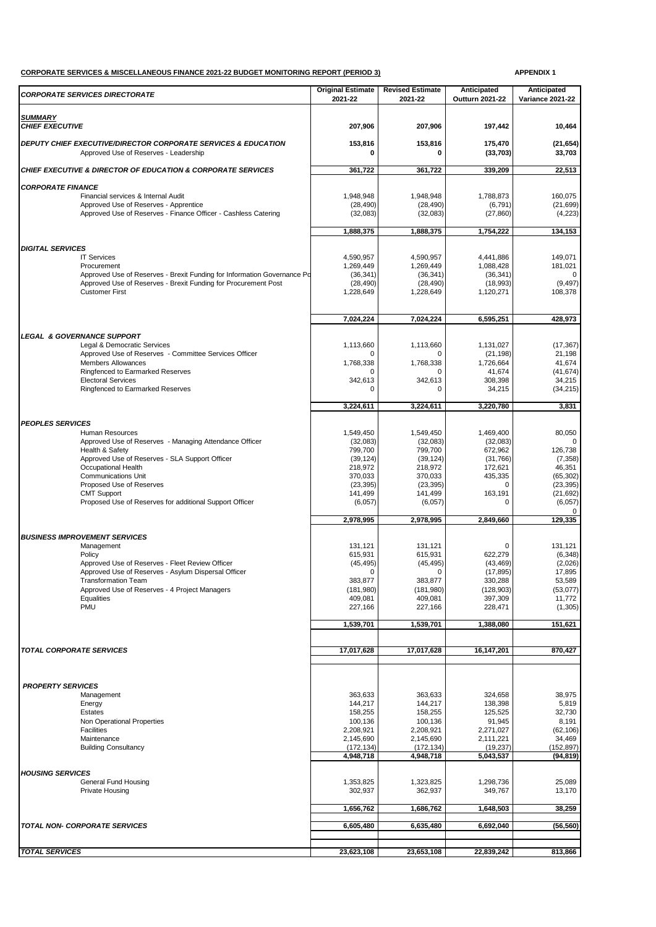## **CORPORATE SERVICES & MISCELLANEOUS FINANCE 2021-22 BUDGET MONITORING REPORT (PERIOD 3) APPENDIX 1**

| <b>CORPORATE SERVICES DIRECTORATE</b>                                                                   | <b>Original Estimate</b><br>2021-22 | <b>Revised Estimate</b><br>2021-22 | Anticipated<br><b>Outturn 2021-22</b> | Anticipated<br><b>Variance 2021-22</b> |
|---------------------------------------------------------------------------------------------------------|-------------------------------------|------------------------------------|---------------------------------------|----------------------------------------|
| <b>SUMMARY</b>                                                                                          |                                     |                                    |                                       |                                        |
| <b>CHIEF EXECUTIVE</b>                                                                                  | 207,906                             | 207,906                            | 197,442                               | 10,464                                 |
| DEPUTY CHIEF EXECUTIVE/DIRECTOR CORPORATE SERVICES & EDUCATION<br>Approved Use of Reserves - Leadership | 153,816                             | 153,816<br>0                       | 175,470<br>(33,703)                   | (21, 654)<br>33,703                    |
| <b>CHIEF EXECUTIVE &amp; DIRECTOR OF EDUCATION &amp; CORPORATE SERVICES</b>                             | 361,722                             | 361,722                            | 339,209                               | 22,513                                 |
| <b>CORPORATE FINANCE</b>                                                                                |                                     |                                    |                                       |                                        |
| Financial services & Internal Audit                                                                     | 1,948,948                           | 1,948,948                          | 1,788,873                             | 160,075                                |
| Approved Use of Reserves - Apprentice                                                                   | (28, 490)<br>(32,083)               | (28, 490)                          | (6, 791)                              | (21, 699)                              |
| Approved Use of Reserves - Finance Officer - Cashless Catering                                          |                                     | (32,083)                           | (27, 860)                             | (4,223)                                |
|                                                                                                         | 1,888,375                           | 1,888,375                          | 1,754,222                             | 134,153                                |
| <b>DIGITAL SERVICES</b>                                                                                 |                                     |                                    |                                       |                                        |
| <b>IT Services</b><br>Procurement                                                                       | 4,590,957<br>1,269,449              | 4,590,957<br>1,269,449             | 4,441,886<br>1,088,428                | 149,071<br>181,021                     |
| Approved Use of Reserves - Brexit Funding for Information Governance Po                                 | (36, 341)                           | (36, 341)                          | (36, 341)                             |                                        |
| Approved Use of Reserves - Brexit Funding for Procurement Post                                          | (28, 490)                           | (28, 490)                          | (18,993)                              | (9, 497)                               |
| <b>Customer First</b>                                                                                   | 1,228,649                           | 1,228,649                          | 1,120,271                             | 108,378                                |
|                                                                                                         | 7.024.224                           | 7,024,224                          | 6,595,251                             | 428,973                                |
| <b>LEGAL &amp; GOVERNANCE SUPPORT</b>                                                                   |                                     |                                    |                                       |                                        |
| Legal & Democratic Services                                                                             | 1.113.660                           | 1.113.660                          | 1,131,027                             | (17, 367)                              |
| Approved Use of Reserves - Committee Services Officer<br><b>Members Allowances</b>                      | 1,768,338                           | $\Omega$<br>1,768,338              | (21, 198)<br>1,726,664                | 21,198<br>41,674                       |
| Ringfenced to Earmarked Reserves                                                                        | U                                   | $\mathbf 0$                        | 41,674                                | (41, 674)                              |
| <b>Electoral Services</b>                                                                               | 342,613<br>O                        | 342,613<br>$\Omega$                | 308.398                               | 34,215                                 |
| Ringfenced to Earmarked Reserves                                                                        |                                     |                                    | 34,215                                | (34, 215)                              |
|                                                                                                         | 3,224,611                           | 3,224,611                          | 3,220,780                             | 3,831                                  |
| <b>PEOPLES SERVICES</b>                                                                                 |                                     |                                    |                                       |                                        |
| Human Resources<br>Approved Use of Reserves - Managing Attendance Officer                               | 1,549,450<br>(32,083)               | 1,549,450<br>(32,083)              | 1,469,400<br>(32,083)                 | 80,050<br>$\Omega$                     |
| Health & Safety                                                                                         | 799,700                             | 799,700                            | 672,962                               | 126,738                                |
| Approved Use of Reserves - SLA Support Officer                                                          | (39, 124)                           | (39, 124)                          | (31,766)                              | (7, 358)                               |
| Occupational Health                                                                                     | 218,972                             | 218,972                            | 172,621                               | 46,351                                 |
| <b>Communications Unit</b><br>Proposed Use of Reserves                                                  | 370,033<br>(23, 395)                | 370,033<br>(23, 395)               | 435,335<br>$\Omega$                   | (65, 302)<br>(23, 395)                 |
| <b>CMT Support</b>                                                                                      | 141,499                             | 141,499                            | 163,191                               | (21, 692)                              |
| Proposed Use of Reserves for additional Support Officer                                                 | (6,057)                             | (6,057)                            | 0                                     | (6,057)                                |
|                                                                                                         | 2,978,995                           | 2,978,995                          | 2,849,660                             | 129,335                                |
| <b>BUSINESS IMPROVEMENT SERVICES</b>                                                                    |                                     |                                    |                                       |                                        |
| Management                                                                                              | 131,121                             | 131,121                            | $\Omega$                              | 131,121                                |
| Policy<br>Approved Use of Reserves - Fleet Review Officer                                               | 615,931<br>(45, 495)                | 615,931<br>(45, 495)               | 622,279<br>(43, 469)                  | (6, 348)<br>(2,026)                    |
| Approved Use of Reserves - Asylum Dispersal Officer                                                     | $\Omega$                            | $\Omega$                           | (17, 895)                             | 17,895                                 |
| <b>Transformation Team</b>                                                                              | 383,877                             | 383,877                            | 330,288                               | 53,589                                 |
| Approved Use of Reserves - 4 Project Managers<br>Equalities                                             | (181, 980)<br>409,081               | (181,980)<br>409,081               | (128, 903)<br>397,309                 | (53,077)<br>11,772                     |
| PMU                                                                                                     | 227,166                             | 227,166                            | 228,471                               | (1,305)                                |
|                                                                                                         | 1,539,701                           | 1,539,701                          | 1,388,080                             | 151,621                                |
|                                                                                                         |                                     |                                    |                                       |                                        |
| <b>TOTAL CORPORATE SERVICES</b>                                                                         | 17,017,628                          | 17,017,628                         | 16,147,201                            | 870,427                                |
|                                                                                                         |                                     |                                    |                                       |                                        |
| <b>PROPERTY SERVICES</b>                                                                                |                                     |                                    |                                       |                                        |
| Management                                                                                              | 363,633                             | 363,633                            | 324,658                               | 38,975                                 |
| Energy<br>Estates                                                                                       | 144,217                             | 144,217                            | 138,398                               | 5,819                                  |
| Non Operational Properties                                                                              | 158,255<br>100,136                  | 158,255<br>100,136                 | 125,525<br>91,945                     | 32,730<br>8,191                        |
| Facilities                                                                                              | 2,208,921                           | 2,208,921                          | 2,271,027                             | (62, 106)                              |
| Maintenance                                                                                             | 2,145,690                           | 2,145,690                          | 2,111,221                             | 34,469                                 |
| <b>Building Consultancy</b>                                                                             | (172, 134)<br>4,948,718             | (172, 134)<br>4,948,718            | (19, 237)<br>5,043,537                | (152, 897)<br>(94, 819)                |
| <b>HOUSING SERVICES</b>                                                                                 |                                     |                                    |                                       |                                        |
| General Fund Housing                                                                                    | 1,353,825                           | 1,323,825                          | 1,298,736                             | 25,089                                 |
| <b>Private Housing</b>                                                                                  | 302,937                             | 362,937                            | 349,767                               | 13,170                                 |
|                                                                                                         | 1,656,762                           | 1,686,762                          | 1,648,503                             | 38,259                                 |
| <b>TOTAL NON- CORPORATE SERVICES</b>                                                                    | 6,605,480                           | 6,635,480                          | 6,692,040                             | (56, 560)                              |
|                                                                                                         |                                     |                                    |                                       |                                        |
| <b>TOTAL SERVICES</b>                                                                                   | 23,623,108                          | 23,653,108                         | 22,839,242                            | 813,866                                |